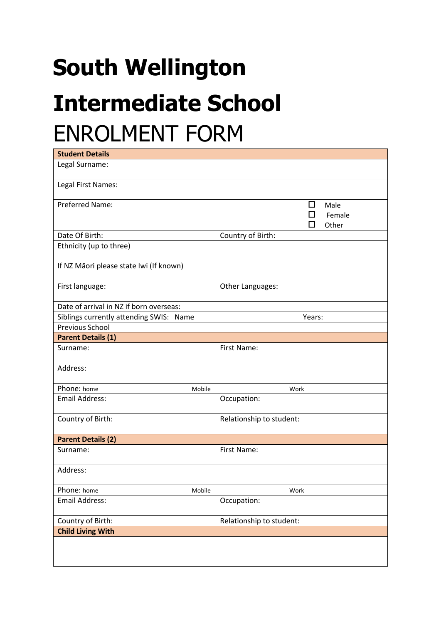## **South Wellington Intermediate School** ENROLMENT FORM

| <b>Student Details</b>                  |                          |                                        |
|-----------------------------------------|--------------------------|----------------------------------------|
| Legal Surname:                          |                          |                                        |
| Legal First Names:                      |                          |                                        |
| <b>Preferred Name:</b>                  |                          | ◻<br>Male<br>п<br>Female<br>П<br>Other |
| Date Of Birth:                          |                          | Country of Birth:                      |
| Ethnicity (up to three)                 |                          |                                        |
| If NZ Māori please state Iwi (If known) |                          |                                        |
| First language:                         |                          | Other Languages:                       |
| Date of arrival in NZ if born overseas: |                          |                                        |
| Siblings currently attending SWIS: Name |                          | Years:                                 |
| Previous School                         |                          |                                        |
| <b>Parent Details (1)</b>               |                          |                                        |
| Surname:                                |                          | First Name:                            |
| Address:                                |                          |                                        |
| Phone: home                             | Mobile                   | Work                                   |
| <b>Email Address:</b>                   |                          | Occupation:                            |
| Country of Birth:                       |                          | Relationship to student:               |
| <b>Parent Details (2)</b>               |                          |                                        |
| Surname:                                |                          | First Name:                            |
| Address:                                |                          |                                        |
| Phone: home                             | Mobile                   | Work                                   |
| <b>Email Address:</b>                   |                          | Occupation:                            |
| Country of Birth:                       | Relationship to student: |                                        |
| <b>Child Living With</b>                |                          |                                        |
|                                         |                          |                                        |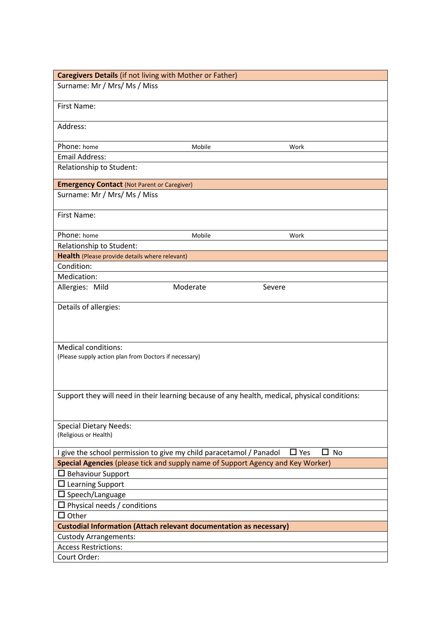| <b>Caregivers Details (if not living with Mother or Father)</b>                 |          |                                                                                               |
|---------------------------------------------------------------------------------|----------|-----------------------------------------------------------------------------------------------|
| Surname: Mr / Mrs/ Ms / Miss                                                    |          |                                                                                               |
| First Name:                                                                     |          |                                                                                               |
| Address:                                                                        |          |                                                                                               |
| Phone: home                                                                     | Mobile   | Work                                                                                          |
| <b>Email Address:</b>                                                           |          |                                                                                               |
| Relationship to Student:                                                        |          |                                                                                               |
| <b>Emergency Contact (Not Parent or Caregiver)</b>                              |          |                                                                                               |
| Surname: Mr / Mrs/ Ms / Miss                                                    |          |                                                                                               |
| <b>First Name:</b>                                                              |          |                                                                                               |
| Phone: home                                                                     | Mobile   | Work                                                                                          |
| Relationship to Student:                                                        |          |                                                                                               |
| Health (Please provide details where relevant)                                  |          |                                                                                               |
| Condition:                                                                      |          |                                                                                               |
| Medication:                                                                     |          |                                                                                               |
| Allergies: Mild                                                                 | Moderate | Severe                                                                                        |
| Details of allergies:<br><b>Medical conditions:</b>                             |          |                                                                                               |
| (Please supply action plan from Doctors if necessary)                           |          |                                                                                               |
|                                                                                 |          | Support they will need in their learning because of any health, medical, physical conditions: |
| <b>Special Dietary Needs:</b><br>(Religious or Health)                          |          |                                                                                               |
| I give the school permission to give my child paracetamol / Panadol             |          | $\Box$ Yes<br><b>No</b>                                                                       |
| Special Agencies (please tick and supply name of Support Agency and Key Worker) |          |                                                                                               |
| $\Box$ Behaviour Support                                                        |          |                                                                                               |
| $\Box$ Learning Support                                                         |          |                                                                                               |
| $\square$ Speech/Language                                                       |          |                                                                                               |
| $\Box$ Physical needs / conditions                                              |          |                                                                                               |
| $\Box$ Other                                                                    |          |                                                                                               |
| <b>Custodial Information (Attach relevant documentation as necessary)</b>       |          |                                                                                               |
| <b>Custody Arrangements:</b>                                                    |          |                                                                                               |
| <b>Access Restrictions:</b>                                                     |          |                                                                                               |
| Court Order:                                                                    |          |                                                                                               |
|                                                                                 |          |                                                                                               |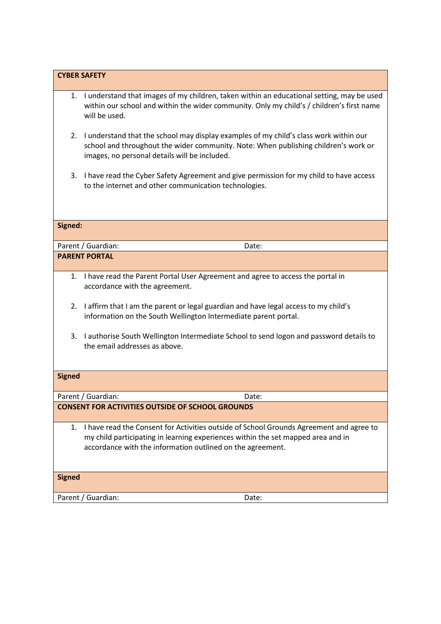|               | <b>CYBER SAFETY</b>                                                                                                                                                                                                                       |
|---------------|-------------------------------------------------------------------------------------------------------------------------------------------------------------------------------------------------------------------------------------------|
|               | 1. I understand that images of my children, taken within an educational setting, may be used<br>within our school and within the wider community. Only my child's / children's first name<br>will be used.                                |
| 2.            | I understand that the school may display examples of my child's class work within our<br>school and throughout the wider community. Note: When publishing children's work or<br>images, no personal details will be included.             |
| 3.            | I have read the Cyber Safety Agreement and give permission for my child to have access<br>to the internet and other communication technologies.                                                                                           |
|               |                                                                                                                                                                                                                                           |
| Signed:       |                                                                                                                                                                                                                                           |
|               | Parent / Guardian:<br>Date:                                                                                                                                                                                                               |
|               | <b>PARENT PORTAL</b>                                                                                                                                                                                                                      |
| 1.            | I have read the Parent Portal User Agreement and agree to access the portal in<br>accordance with the agreement.                                                                                                                          |
| 2.            | I affirm that I am the parent or legal guardian and have legal access to my child's<br>information on the South Wellington Intermediate parent portal.                                                                                    |
| 3.            | I authorise South Wellington Intermediate School to send logon and password details to<br>the email addresses as above.                                                                                                                   |
| <b>Signed</b> |                                                                                                                                                                                                                                           |
|               | Parent / Guardian:<br>Date:                                                                                                                                                                                                               |
|               | <b>CONSENT FOR ACTIVITIES OUTSIDE OF SCHOOL GROUNDS</b>                                                                                                                                                                                   |
| 1.            | I have read the Consent for Activities outside of School Grounds Agreement and agree to<br>my child participating in learning experiences within the set mapped area and in<br>accordance with the information outlined on the agreement. |
| <b>Signed</b> |                                                                                                                                                                                                                                           |
|               | Parent / Guardian:<br>Date:                                                                                                                                                                                                               |